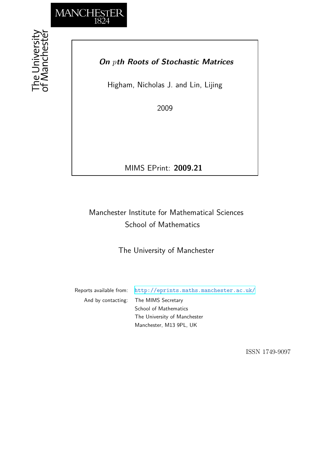

## *On pth Roots of Stochastic Matrices*

Higham, Nicholas J. and Lin, Lijing

2009

MIMS EPrint: **2009.21**

# Manchester Institute for Mathematical Sciences School of Mathematics

The University of Manchester

Reports available from: <http://eprints.maths.manchester.ac.uk/> And by contacting: The MIMS Secretary School of Mathematics The University of Manchester

Manchester, M13 9PL, UK

ISSN 1749-9097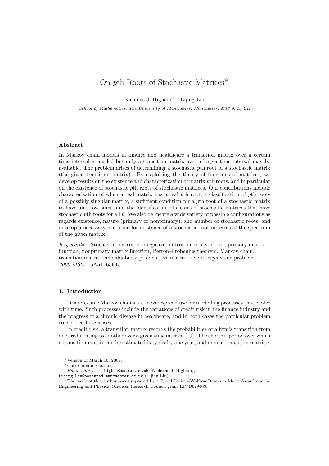### On pth Roots of Stochastic Matrices  $\hat{X}$

Nicholas J. Higham∗,1, Lijing Lin

School of Mathematics, The University of Manchester, Manchester, M13 9PL, UK

#### Abstract

In Markov chain models in finance and healthcare a transition matrix over a certain time interval is needed but only a transition matrix over a longer time interval may be available. The problem arises of determining a stochastic pth root of a stochastic matrix (the given transition matrix). By exploiting the theory of functions of matrices, we develop results on the existence and characterization of matrix pth roots, and in particular on the existence of stochastic pth roots of stochastic matrices. Our contributions include characterization of when a real matrix has a real pth root, a classification of pth roots of a possibly singular matrix, a sufficient condition for a pth root of a stochastic matrix to have unit row sums, and the identification of classes of stochastic matrices that have stochastic pth roots for all p. We also delineate a wide variety of possible configurations as regards existence, nature (primary or nonprimary), and number of stochastic roots, and develop a necessary condition for existence of a stochastic root in terms of the spectrum of the given matrix.

Key words: Stochastic matrix, nonnegative matrix, matrix pth root, primary matrix function, nonprimary matrix function, Perron–Frobenius theorem, Markov chain, transition matrix, embeddability problem, M-matrix, inverse eigenvalue problem 2000 MSC: 15A51, 65F15

#### 1. Introduction

Discrete-time Markov chains are in widespread use for modelling processes that evolve with time. Such processes include the variations of credit risk in the finance industry and the progress of a chronic disease in healthcare, and in both cases the particular problem considered here arises.

In credit risk, a transition matrix records the probabilities of a firm's transition from one credit rating to another over a given time interval [19]. The shortest period over which a transition matrix can be estimated is typically one year, and annual transition matrices

<sup>✩</sup>Version of March 10, 2009.

<sup>∗</sup>Corresponding author.

Email addresses: higham@ma.man.ac.uk (Nicholas J. Higham),

Lijing.Lin@postgrad.manchester.ac.uk (Lijing Lin) <sup>1</sup>The work of this author was supported by a Royal Society-Wolfson Research Merit Award and by Engineering and Physical Sciences Research Council grant EP/D079403.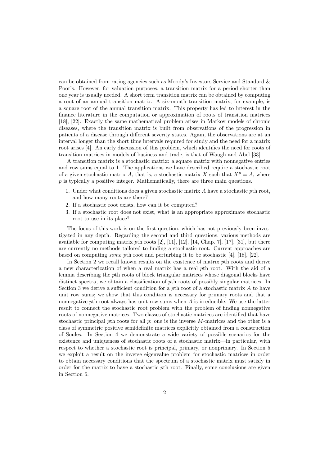can be obtained from rating agencies such as Moody's Investors Service and Standard & Poor's. However, for valuation purposes, a transition matrix for a period shorter than one year is usually needed. A short term transition matrix can be obtained by computing a root of an annual transition matrix. A six-month transition matrix, for example, is a square root of the annual transition matrix. This property has led to interest in the finance literature in the computation or approximation of roots of transition matrices [18], [22]. Exactly the same mathematical problem arises in Markov models of chronic diseases, where the transition matrix is built from observations of the progression in patients of a disease through different severity states. Again, the observations are at an interval longer than the short time intervals required for study and the need for a matrix root arises [4]. An early discussion of this problem, which identifies the need for roots of transition matrices in models of business and trade, is that of Waugh and Abel [33].

A transition matrix is a stochastic matrix: a square matrix with nonnegative entries and row sums equal to 1. The applications we have described require a stochastic root of a given stochastic matrix A, that is, a stochastic matrix X such that  $X^p = A$ , where p is typically a positive integer. Mathematically, there are three main questions.

- 1. Under what conditions does a given stochastic matrix  $A$  have a stochastic pth root, and how many roots are there?
- 2. If a stochastic root exists, how can it be computed?
- 3. If a stochastic root does not exist, what is an appropriate approximate stochastic root to use in its place?

The focus of this work is on the first question, which has not previously been investigated in any depth. Regarding the second and third questions, various methods are available for computing matrix pth roots  $[2]$ ,  $[11]$ ,  $[12]$ ,  $[14]$ , Chap. 7],  $[17]$ ,  $[31]$ , but there are currently no methods tailored to finding a stochastic root. Current approaches are based on computing some pth root and perturbing it to be stochastic [4], [18], [22].

In Section 2 we recall known results on the existence of matrix pth roots and derive a new characterization of when a real matrix has a real pth root. With the aid of a lemma describing the pth roots of block triangular matrices whose diagonal blocks have distinct spectra, we obtain a classification of pth roots of possibly singular matrices. In Section 3 we derive a sufficient condition for a pth root of a stochastic matrix  $A$  to have unit row sums; we show that this condition is necessary for primary roots and that a nonnegative pth root always has unit row sums when  $\tilde{A}$  is irreducible. We use the latter result to connect the stochastic root problem with the problem of finding nonnegative roots of nonnegative matrices. Two classes of stochastic matrices are identified that have stochastic principal pth roots for all  $p$ : one is the inverse M-matrices and the other is a class of symmetric positive semidefinite matrices explicitly obtained from a construction of Soules. In Section 4 we demonstrate a wide variety of possible scenarios for the existence and uniqueness of stochastic roots of a stochastic matrix—in particular, with respect to whether a stochastic root is principal, primary, or nonprimary. In Section 5 we exploit a result on the inverse eigenvalue problem for stochastic matrices in order to obtain necessary conditions that the spectrum of a stochastic matrix must satisfy in order for the matrix to have a stochastic pth root. Finally, some conclusions are given in Section 6.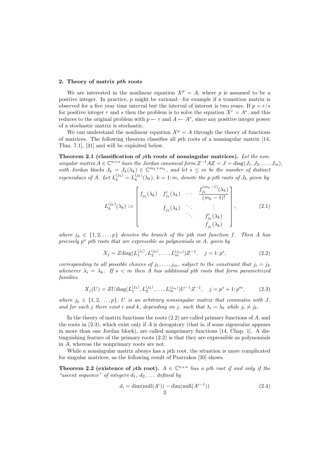#### 2. Theory of matrix pth roots

We are interested in the nonlinear equation  $X^p = A$ , where p is assumed to be a positive integer. In practice,  $p$  might be rational—for example if a transition matrix is observed for a five year time interval but the interval of interest is two years. If  $p = r/s$ for positive integer r and s then the problem is to solve the equation  $X^r = A^s$ , and this reduces to the original problem with  $p \leftarrow r$  and  $A \leftarrow A^s$ , since any positive integer power of a stochastic matrix is stochastic.

We can understand the nonlinear equation  $X^p = A$  through the theory of functions of matrices. The following theorem classifies all pth roots of a nonsingular matrix [14, Thm. 7.1], [31] and will be exploited below.

Theorem 2.1 (classification of pth roots of nonsingular matrices). Let the nonsingular matrix  $A \in \mathbb{C}^{n \times n}$  have the Jordan canonical form  $Z^{-1}AZ = J = \text{diag}(J_1, J_2, \ldots, J_m)$ , with Jordan blocks  $J_k = J_k(\lambda_k) \in \mathbb{C}^{m_k \times m_k}$ , and let  $s \leq m$  be the number of distinct eigenvalues of A. Let  $L_k^{(j_k)} = L_k^{(j_k)}$  $\binom{f(k)}{k}$ ,  $k = 1$ : m, denote the p pth roots of  $J_k$  given by

$$
L_k^{(j_k)}(\lambda_k) := \begin{bmatrix} f_{j_k}(\lambda_k) & f'_{j_k}(\lambda_k) & \cdots & \frac{f_{j_k}^{(m_k-1)}(\lambda_k)}{(m_k-1)!} \\ & f_{j_k}(\lambda_k) & \ddots & \vdots \\ & & \ddots & f'_{j_k}(\lambda_k) \\ & & & f_{j_k}(\lambda_k) \end{bmatrix},
$$
(2.1)

where  $j_k \in \{1, 2, ..., p\}$  denotes the branch of the pth root function f. Then A has precisely  $p^s$  pth roots that are expressible as polynomials in  $A$ , given by

$$
X_j = Z \text{diag}(L_1^{(j_1)}, L_2^{(j_2)}, \dots, L_m^{(j_m)}) Z^{-1}, \quad j = 1; p^s,
$$
\n(2.2)

corresponding to all possible choices of  $j_1, \ldots, j_m$ , subject to the constraint that  $j_i = j_k$ whenever  $\lambda_i = \lambda_k$ . If  $s < m$  then A has additional pth roots that form parametrized families

$$
X_j(U) = ZU \text{diag}(L_1^{(j_1)}, L_2^{(j_2)}, \dots, L_m^{(j_m)}) U^{-1} Z^{-1}, \quad j = p^s + 1 : p^m,
$$
 (2.3)

where  $j_k \in \{1, 2, ..., p\}$ , U is an arbitrary nonsingular matrix that commutes with J, and for each j there exist i and k, depending on j, such that  $\lambda_i = \lambda_k$  while  $j_i \neq j_k$ .

In the theory of matrix functions the roots  $(2.2)$  are called primary functions of  $A$ , and the roots in  $(2.3)$ , which exist only if A is derogatory (that is, if some eigenvalue appears in more than one Jordan block), are called nonprimary functions [14, Chap. 1]. A distinguishing feature of the primary roots (2.2) is that they are expressible as polynomials in A, whereas the nonprimary roots are not.

While a nonsingular matrix always has a pth root, the situation is more complicated for singular matrices, as the following result of Psarrakos [30] shows.

**Theorem 2.2** (existence of pth root).  $A \in \mathbb{C}^{n \times n}$  has a pth root if and only if the "ascent sequence" of integers  $d_1, d_2, \ldots$  defined by

$$
d_i = \dim(\text{null}(A^i)) - \dim(\text{null}(A^{i-1}))
$$
\n
$$
3 \tag{2.4}
$$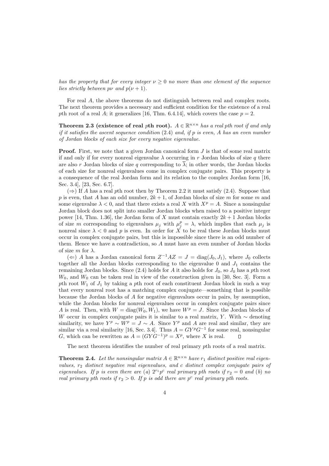has the property that for every integer  $\nu > 0$  no more than one element of the sequence lies strictly between  $p\nu$  and  $p(\nu+1)$ .

For real A, the above theorems do not distinguish between real and complex roots. The next theorem provides a necessary and sufficient condition for the existence of a real pth root of a real A; it generalizes [16, Thm. 6.4.14], which covers the case  $p = 2$ .

**Theorem 2.3** (existence of real pth root).  $A \in \mathbb{R}^{n \times n}$  has a real pth root if and only if it satisfies the ascent sequence condition  $(2.4)$  and, if p is even, A has an even number of Jordan blocks of each size for every negative eigenvalue.

**Proof.** First, we note that a given Jordan canonical form  $J$  is that of some real matrix if and only if for every nonreal eigenvalue  $\lambda$  occurring in r Jordan blocks of size q there are also r Jordan blocks of size q corresponding to  $\lambda$ ; in other words, the Jordan blocks of each size for nonreal eigenvalues come in complex conjugate pairs. This property is a consequence of the real Jordan form and its relation to the complex Jordan form [16, Sec. 3.4], [23, Sec. 6.7].

 $(\Rightarrow)$  If A has a real pth root then by Theorem 2.2 it must satisfy (2.4). Suppose that p is even, that A has an odd number,  $2k+1$ , of Jordan blocks of size m for some m and some eigenvalue  $\lambda < 0$ , and that there exists a real X with  $X^p = A$ . Since a nonsingular Jordan block does not split into smaller Jordan blocks when raised to a positive integer power [14, Thm. 1.36], the Jordan form of X must contain exactly  $2k + 1$  Jordan blocks of size m corresponding to eigenvalues  $\mu_j$  with  $\mu_j^p = \lambda$ , which implies that each  $\mu_j$  is nonreal since  $\lambda < 0$  and p is even. In order for X to be real these Jordan blocks must occur in complex conjugate pairs, but this is impossible since there is an odd number of them. Hence we have a contradiction, so A must have an even number of Jordan blocks of size m for  $\lambda$ .

(  $\Leftarrow$  ) A has a Jordan canonical form  $Z^{-1}AZ = J = \text{diag}(J_0, J_1)$ , where  $J_0$  collects together all the Jordan blocks corresponding to the eigenvalue  $0$  and  $J_1$  contains the remaining Jordan blocks. Since (2.4) holds for A it also holds for  $J_0$ , so  $J_0$  has a pth root  $W_0$ , and  $W_0$  can be taken real in view of the construction given in [30, Sec. 3]. Form a pth root  $W_1$  of  $J_1$  by taking a pth root of each constituent Jordan block in such a way that every nonreal root has a matching complex conjugate—something that is possible because the Jordan blocks of A for negative eigenvalues occur in pairs, by assumption, while the Jordan blocks for nonreal eigenvalues occur in complex conjugate pairs since A is real. Then, with  $W = \text{diag}(W_0, W_1)$ , we have  $W^p = J$ . Since the Jordan blocks of W occur in complex conjugate pairs it is similar to a real matrix, Y. With  $\sim$  denoting similarity, we have  $Y^p \sim W^p = J \sim A$ . Since  $Y^p$  and A are real and similar, they are similar via a real similarity [16, Sec. 3.4]. Thus  $A = GY^pG^{-1}$  for some real, nonsingular G, which can be rewritten as  $A = (G Y G^{-1})^p = X^p$ , where X is real.  $\Box$ 

The next theorem identifies the number of real primary pth roots of a real matrix.

**Theorem 2.4.** Let the nonsingular matrix  $A \in \mathbb{R}^{n \times n}$  have  $r_1$  distinct positive real eigenvalues,  $r_2$  distinct negative real eigenvalues, and c distinct complex conjugate pairs of eigenvalues. If p is even there are (a)  $2^{r_1} p^c$  real primary pth roots if  $r_2 = 0$  and (b) no real primary pth roots if  $r_2 > 0$ . If p is odd there are p<sup>c</sup> real primary pth roots.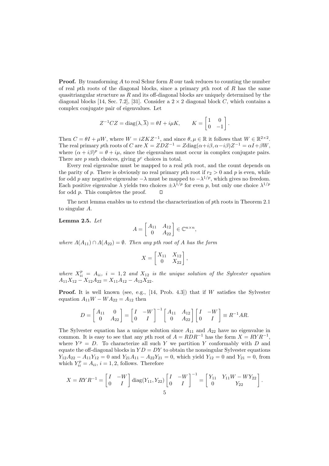**Proof.** By transforming  $A$  to real Schur form  $R$  our task reduces to counting the number of real pth roots of the diagonal blocks, since a primary pth root of  $R$  has the same quasitriangular structure as  $R$  and its off-diagonal blocks are uniquely determined by the diagonal blocks [14, Sec. 7.2], [31]. Consider a  $2 \times 2$  diagonal block C, which contains a complex conjugate pair of eigenvalues. Let

$$
Z^{-1}CZ = \text{diag}(\lambda, \overline{\lambda}) = \theta I + i\mu K, \qquad K = \begin{bmatrix} 1 & 0 \\ 0 & -1 \end{bmatrix}.
$$

Then  $C = \theta I + \mu W$ , where  $W = iZKZ^{-1}$ , and since  $\theta, \mu \in \mathbb{R}$  it follows that  $W \in \mathbb{R}^{2 \times 2}$ . The real primary pth roots of C are  $X = ZDZ^{-1} = Z \text{diag}(\alpha + i\beta, \alpha - i\beta)Z^{-1} = \alpha I + \beta W$ , where  $(\alpha + i\beta)^p = \theta + i\mu$ , since the eigenvalues must occur in complex conjugate pairs. There are  $p$  such choices, giving  $p^c$  choices in total.

Every real eigenvalue must be mapped to a real pth root, and the count depends on the parity of p. There is obviously no real primary pth root if  $r_2 > 0$  and p is even, while for odd p any negative eigenvalue  $-\lambda$  must be mapped to  $-\lambda^{1/p}$ , which gives no freedom. Each positive eigenvalue  $\lambda$  yields two choices  $\pm \lambda^{1/p}$  for even p, but only one choice  $\lambda^{1/p}$ for odd p. This completes the proof.

The next lemma enables us to extend the characterization of pth roots in Theorem 2.1 to singular A.

Lemma 2.5. Let

$$
A = \begin{bmatrix} A_{11} & A_{12} \\ 0 & A_{22} \end{bmatrix} \in \mathbb{C}^{n \times n},
$$

where  $\Lambda(A_{11}) \cap \Lambda(A_{22}) = \emptyset$ . Then any pth root of A has the form

$$
X = \begin{bmatrix} X_{11} & X_{12} \\ 0 & X_{22} \end{bmatrix},
$$

where  $X_{ii}^p = A_{ii}$ ,  $i = 1, 2$  and  $X_{12}$  is the unique solution of the Sylvester equation  $A_{11}X_{12} - X_{12}A_{22} = X_{11}A_{12} - A_{12}X_{22}.$ 

**Proof.** It is well known (see, e.g.,  $[14, \text{Prob. } 4.3]$ ) that if W satisfies the Sylvester equation  $A_{11}W - WA_{22} = A_{12}$  then

$$
D = \begin{bmatrix} A_{11} & 0 \\ 0 & A_{22} \end{bmatrix} = \begin{bmatrix} I & -W \\ 0 & I \end{bmatrix}^{-1} \begin{bmatrix} A_{11} & A_{12} \\ 0 & A_{22} \end{bmatrix} \begin{bmatrix} I & -W \\ 0 & I \end{bmatrix} \equiv R^{-1}AR.
$$

The Sylvester equation has a unique solution since  $A_{11}$  and  $A_{22}$  have no eigenvalue in common. It is easy to see that any pth root of  $A = RDR^{-1}$  has the form  $X = RYR^{-1}$ , where  $Y^p = D$ . To characterize all such Y we partition Y conformably with D and equate the off-diagonal blocks in  $YD = DY$  to obtain the nonsingular Sylvester equations  $Y_{12}A_{22} - A_{11}Y_{12} = 0$  and  $Y_{21}A_{11} - A_{22}Y_{21} = 0$ , which yield  $Y_{12} = 0$  and  $Y_{21} = 0$ , from which  $Y_{ii}^p = A_{ii}$ ,  $i = 1, 2$ , follows. Therefore

$$
X = RYR^{-1} = \begin{bmatrix} I & -W \\ 0 & I \end{bmatrix} \text{diag}(Y_{11}, Y_{22}) \begin{bmatrix} I & -W \\ 0 & I \end{bmatrix}^{-1} = \begin{bmatrix} Y_{11} & Y_{11}W - WY_{22} \\ 0 & Y_{22} \end{bmatrix}.
$$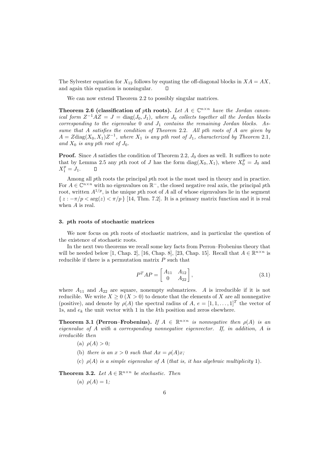The Sylvester equation for  $X_{12}$  follows by equating the off-diagonal blocks in  $XA = AX$ , and again this equation is nonsingular.  $\Box$ 

We can now extend Theorem 2.2 to possibly singular matrices.

**Theorem 2.6 (classification of pth roots).** Let  $A \in \mathbb{C}^{n \times n}$  have the Jordan canonical form  $Z^{-1}AZ = J = \text{diag}(J_0, J_1)$ , where  $J_0$  collects together all the Jordan blocks corresponding to the eigenvalue  $0$  and  $J_1$  contains the remaining Jordan blocks. Assume that A satisfies the condition of Theorem 2.2. All pth roots of A are given by  $A = Z \text{diag}(X_0, X_1) Z^{-1}$ , where  $X_1$  is any pth root of  $J_1$ , characterized by Theorem 2.1, and  $X_0$  is any pth root of  $J_0$ .

**Proof.** Since A satisfies the condition of Theorem 2.2,  $J_0$  does as well. It suffices to note that by Lemma 2.5 any pth root of J has the form  $diag(X_0, X_1)$ , where  $X_0^p = J_0$  and  $X_1^p = J_1.$ 

Among all pth roots the principal pth root is the most used in theory and in practice. For  $A \in \mathbb{C}^{n \times n}$  with no eigenvalues on  $\mathbb{R}^-$ , the closed negative real axis, the principal pth root, written  $A^{1/p}$ , is the unique pth root of A all of whose eigenvalues lie in the segment  $\{z: -\pi/p < \arg(z) < \pi/p\}$  [14, Thm. 7.2]. It is a primary matrix function and it is real when A is real.

#### 3. pth roots of stochastic matrices

We now focus on pth roots of stochastic matrices, and in particular the question of the existence of stochastic roots.

In the next two theorems we recall some key facts from Perron–Frobenius theory that will be needed below [1, Chap. 2], [16, Chap. 8], [23, Chap. 15]. Recall that  $A \in \mathbb{R}^{n \times n}$  is reducible if there is a permutation matrix  $P$  such that

$$
P^T A P = \begin{bmatrix} A_{11} & A_{12} \\ 0 & A_{22} \end{bmatrix},
$$
\n(3.1)

where  $A_{11}$  and  $A_{22}$  are square, nonempty submatrices. A is irreducible if it is not reducible. We write  $X \geq 0$  ( $X > 0$ ) to denote that the elements of X are all nonnegative (positive), and denote by  $\rho(A)$  the spectral radius of  $A, e = [1, 1, \ldots, 1]^T$  the vector of 1s, and  $e_k$  the unit vector with 1 in the kth position and zeros elsewhere.

**Theorem 3.1 (Perron–Frobenius).** If  $A \in \mathbb{R}^{n \times n}$  is nonnegative then  $\rho(A)$  is an eigenvalue of A with a corresponding nonnegative eigenvector. If, in addition, A is irreducible then

- (a)  $\rho(A) > 0$ ;
- (b) there is an  $x > 0$  such that  $Ax = \rho(A)x$ ;
- (c)  $\rho(A)$  is a simple eigenvalue of A (that is, it has algebraic multiplicity 1).

**Theorem 3.2.** Let  $A \in \mathbb{R}^{n \times n}$  be stochastic. Then

(a)  $\rho(A) = 1;$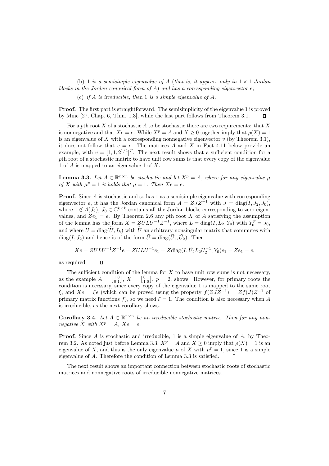(b) 1 is a semisimple eigenvalue of A (that is, it appears only in  $1 \times 1$  Jordan blocks in the Jordan canonical form of A) and has a corresponding eigenvector  $e$ :

(c) if A is irreducible, then 1 is a simple eigenvalue of A.

Proof. The first part is straightforward. The semisimplicity of the eigenvalue 1 is proved by Minc [27, Chap. 6, Thm. 1.3], while the last part follows from Theorem 3.1. П

For a pth root  $X$  of a stochastic  $A$  to be stochastic there are two requirements: that  $X$ is nonnegative and that  $Xe = e$ . While  $X^p = A$  and  $X \ge 0$  together imply that  $\rho(X) = 1$ is an eigenvalue of  $X$  with a corresponding nonnegative eigenvector  $v$  (by Theorem 3.1), it does not follow that  $v = e$ . The matrices A and X in Fact 4.11 below provide an example, with  $v = [1, 1, 2^{1/2}]^T$ . The next result shows that a sufficient condition for a pth root of a stochastic matrix to have unit row sums is that every copy of the eigenvalue 1 of A is mapped to an eigenvalue 1 of X.

**Lemma 3.3.** Let  $A \in \mathbb{R}^{n \times n}$  be stochastic and let  $X^p = A$ , where for any eigenvalue  $\mu$ of X with  $\mu^p = 1$  it holds that  $\mu = 1$ . Then  $Xe = e$ .

Proof. Since A is stochastic and so has 1 as a semisimple eigenvalue with corresponding eigenvector e, it has the Jordan canonical form  $A = ZJZ^{-1}$  with  $J = \text{diag}(I, J_2, J_0)$ , where  $1 \notin \Lambda(J_2)$ ,  $J_0 \in \mathbb{C}^{k \times k}$  contains all the Jordan blocks corresponding to zero eigenvalues, and  $Ze<sub>1</sub> = e$ . By Theorem 2.6 any pth root X of A satisfying the assumption of the lemma has the form  $X = ZULU^{-1}Z^{-1}$ , where  $L = \text{diag}(I, L_2, Y_0)$  with  $Y_0^p = J_0$ , and where  $U = \text{diag}(\widetilde{U}, I_k)$  with  $\widetilde{U}$  an arbitrary nonsingular matrix that commutes with  $diag(I, J_2)$  and hence is of the form  $\widetilde{U} = diag(\widetilde{U}_1, \widetilde{U}_2)$ . Then

$$
Xe = ZULU^{-1}Z^{-1}e = ZULU^{-1}e_1 = Z \text{diag}(I, \widetilde{U}_2 L_2 \widetilde{U}_2^{-1}, Y_0)e_1 = Ze_1 = e,
$$

as required.

 $\Box$ 

The sufficient condition of the lemma for  $X$  to have unit row sums is not necessary, as the example  $A = \begin{bmatrix} 1 & 0 \\ 0 & 1 \end{bmatrix}$ ,  $X = \begin{bmatrix} 0 & 1 \\ 1 & 0 \end{bmatrix}$ ,  $p = 2$ , shows. However, for primary roots the condition is necessary, since every copy of the eigenvalue 1 is mapped to the same root ξ, and  $Xe = \xi e$  (which can be proved using the property  $f(ZJZ^{-1}) = Zf(J)Z^{-1}$  of primary matrix functions f), so we need  $\xi = 1$ . The condition is also necessary when A is irreducible, as the next corollary shows.

**Corollary 3.4.** Let  $A \in \mathbb{R}^{n \times n}$  be an irreducible stochastic matrix. Then for any nonnegative X with  $X^p = A$ ,  $Xe = e$ .

**Proof.** Since A is stochastic and irreducible, 1 is a simple eigenvalue of  $A$ , by Theorem 3.2. As noted just before Lemma 3.3,  $X^p = A$  and  $X \ge 0$  imply that  $\rho(X) = 1$  is an eigenvalue of X, and this is the only eigenvalue  $\mu$  of X with  $\mu^p = 1$ , since 1 is a simple eigenvalue of A. Therefore the condition of Lemma 3.3 is satisfied.  $\Box$ 

The next result shows an important connection between stochastic roots of stochastic matrices and nonnegative roots of irreducible nonnegative matrices.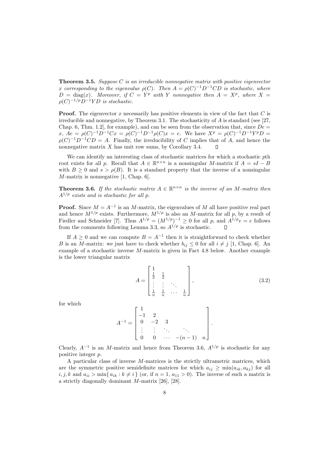**Theorem 3.5.** Suppose C is an irreducible nonnegative matrix with positive eigenvector x corresponding to the eigenvalue  $\rho(C)$ . Then  $A = \rho(C)^{-1}D^{-1}CD$  is stochastic, where  $D = \text{diag}(x)$ . Moreover, if  $C = Y^p$  with Y nonnegative then  $A = X^p$ , where  $X =$  $\rho(C)^{-1/p}D^{-1}YD$  is stochastic.

**Proof.** The eigenvector x necessarily has positive elements in view of the fact that  $C$  is irreducible and nonnegative, by Theorem 3.1. The stochasticity of  $A$  is standard (see [27, Chap. 6, Thm. 1.2, for example), and can be seen from the observation that, since  $De =$  $x, Ae = \rho(C)^{-1}D^{-1}Cx = \rho(C)^{-1}D^{-1}\rho(C)x = e$ . We have  $X^p = \rho(C)^{-1}D^{-1}Y^pD =$  $\rho(C)^{-1}D^{-1}CD = A$ . Finally, the irreducibility of C implies that of A, and hence the nonnegative matrix  $X$  has unit row sums, by Corollary 3.4.  $\Box$ 

We can identify an interesting class of stochastic matrices for which a stochastic pth root exists for all p. Recall that  $A \in \mathbb{R}^{n \times n}$  is a nonsingular M-matrix if  $A = sI - B$ with  $B \ge 0$  and  $s > \rho(B)$ . It is a standard property that the inverse of a nonsingular M-matrix is nonnegative [1, Chap. 6].

**Theorem 3.6.** If the stochastic matrix  $A \in \mathbb{R}^{n \times n}$  is the inverse of an M-matrix then  $A^{1/p}$  exists and is stochastic for all p.

**Proof.** Since  $M = A^{-1}$  is an M-matrix, the eigenvalues of M all have positive real part and hence  $M^{1/p}$  exists. Furthermore,  $M^{1/p}$  is also an M-matrix for all p, by a result of Fiedler and Schneider [7]. Thus  $A^{1/p} = (M^{1/p})^{-1} \geq 0$  for all p, and  $A^{1/p}e = e$  follows from the comments following Lemma 3.3, so  $A^{1/p}$  is stochastic.

If  $A \geq 0$  and we can compute  $B = A^{-1}$  then it is straightforward to check whether B is an M-matrix: we just have to check whether  $b_{ij} \leq 0$  for all  $i \neq j$  [1, Chap. 6]. An example of a stochastic inverse M-matrix is given in Fact 4.8 below. Another example is the lower triangular matrix

$$
A = \begin{bmatrix} 1 & & & \\ \frac{1}{2} & \frac{1}{2} & & \\ \vdots & \vdots & \ddots & \\ \frac{1}{n} & \frac{1}{n} & \cdots & \frac{1}{n} \end{bmatrix},
$$
(3.2)

for which

$$
A^{-1} = \begin{bmatrix} 1 & & & & \\ -1 & 2 & & & \\ 0 & -2 & 3 & & \\ \vdots & \vdots & \ddots & \ddots & \\ 0 & 0 & \cdots & -(n-1) & n \end{bmatrix}.
$$

Clearly,  $A^{-1}$  is an M-matrix and hence from Theorem 3.6,  $A^{1/p}$  is stochastic for any positive integer p.

A particular class of inverse M-matrices is the strictly ultrametric matrices, which are the symmetric positive semidefinite matrices for which  $a_{ij} > \min(a_{ik}, a_{ki})$  for all  $i, j, k$  and  $a_{ii} > \min\{a_{ik} : k \neq i\}$  (or, if  $n = 1, a_{11} > 0$ ). The inverse of such a matrix is a strictly diagonally dominant M-matrix [26], [28].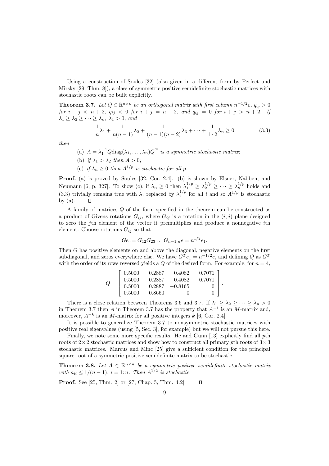Using a construction of Soules [32] (also given in a different form by Perfect and Mirsky [29, Thm. 8]), a class of symmetric positive semidefinite stochastic matrices with stochastic roots can be built explicitly.

**Theorem 3.7.** Let  $Q \in \mathbb{R}^{n \times n}$  be an orthogonal matrix with first column  $n^{-1/2}e$ ,  $q_{ij} > 0$ for  $i + j < n + 2$ ,  $q_{ij} < 0$  for  $i + j = n + 2$ , and  $q_{ij} = 0$  for  $i + j > n + 2$ . If  $\lambda_1 \geq \lambda_2 \geq \cdots \geq \lambda_n, \lambda_1 > 0, \text{ and}$ 

$$
\frac{1}{n}\lambda_1 + \frac{1}{n(n-1)}\lambda_2 + \frac{1}{(n-1)(n-2)}\lambda_3 + \dots + \frac{1}{1\cdot 2}\lambda_n \ge 0
$$
\n(3.3)

then

- (a)  $A = \lambda_1^{-1} Q \text{diag}(\lambda_1, \dots, \lambda_n) Q^T$  is a symmetric stochastic matrix;
- (b) if  $\lambda_1 > \lambda_2$  then  $A > 0$ ;
- (c) if  $\lambda_n \geq 0$  then  $A^{1/p}$  is stochastic for all p.

Proof. (a) is proved by Soules [32, Cor. 2.4]. (b) is shown by Elsner, Nabben, and Neumann [6, p. 327]. To show (c), if  $\lambda_n \geq 0$  then  $\lambda_1^{1/p} \geq \lambda_2^{1/p} \geq \cdots \geq \lambda_n^{1/p}$  holds and (3.3) trivially remains true with  $\lambda_i$  replaced by  $\lambda_i^{1/p}$  for all i and so  $A^{1/p}$  is stochastic by  $(a)$ .  $\Gamma$ 

A family of matrices Q of the form specified in the theorem can be constructed as a product of Givens rotations  $G_{ij}$ , where  $G_{ij}$  is a rotation in the  $(i, j)$  plane designed to zero the jth element of the vector it premultiplies and produce a nonnegative ith element. Choose rotations  $G_{ij}$  so that

$$
Ge := G_{12}G_{23}\dots G_{n-1,n}e = n^{1/2}e_1.
$$

Then G has positive elements on and above the diagonal, negative elements on the first subdiagonal, and zeros everywhere else. We have  $G^T e_1 = n^{-1/2} e$ , and defining  $Q$  as  $G^T$ with the order of its rows reversed yields a  $Q$  of the desired form. For example, for  $n = 4$ ,

$$
Q = \left[\begin{array}{cccc} 0.5000 & 0.2887 & 0.4082 & 0.7071 \\ 0.5000 & 0.2887 & 0.4082 & -0.7071 \\ 0.5000 & 0.2887 & -0.8165 & 0 \\ 0.5000 & -0.8660 & 0 & 0 \end{array}\right].
$$

There is a close relation between Theorems 3.6 and 3.7. If  $\lambda_1 \geq \lambda_2 \geq \cdots \geq \lambda_n > 0$ in Theorem 3.7 then A in Theorem 3.7 has the property that  $A^{-1}$  is an M-matrix and, moreover,  $A^{-k}$  is an M-matrix for all positive integers k [6, Cor. 2.4].

It is possible to generalize Theorem 3.7 to nonsymmetric stochastic matrices with positive real eigenvalues (using [5, Sec. 3], for example) but we will not pursue this here.

Finally, we note some more specific results. He and Gunn [13] explicitly find all pth roots of  $2\times 2$  stochastic matrices and show how to construct all primary pth roots of  $3\times 3$ stochastic matrices. Marcus and Minc [25] give a sufficient condition for the principal square root of a symmetric positive semidefinite matrix to be stochastic.

**Theorem 3.8.** Let  $A \in \mathbb{R}^{n \times n}$  be a symmetric positive semidefinite stochastic matrix with  $a_{ii} \leq 1/(n-1)$ ,  $i = 1:n$ . Then  $A^{1/2}$  is stochastic.

Proof. See [25, Thm. 2] or [27, Chap. 5, Thm. 4.2].  $\Box$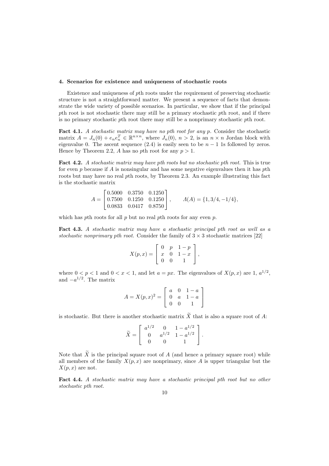#### 4. Scenarios for existence and uniqueness of stochastic roots

Existence and uniqueness of pth roots under the requirement of preserving stochastic structure is not a straightforward matter. We present a sequence of facts that demonstrate the wide variety of possible scenarios. In particular, we show that if the principal pth root is not stochastic there may still be a primary stochastic pth root, and if there is no primary stochastic pth root there may still be a nonprimary stochastic pth root.

Fact 4.1. A stochastic matrix may have no pth root for any p. Consider the stochastic matrix  $A = J_n(0) + e_n e_n^T \in \mathbb{R}^{n \times n}$ , where  $J_n(0)$ ,  $n > 2$ , is an  $n \times n$  Jordan block with eigenvalue 0. The ascent sequence (2.4) is easily seen to be  $n - 1$  1s followed by zeros. Hence by Theorem 2.2, A has no pth root for any  $p > 1$ .

Fact 4.2. A stochastic matrix may have pth roots but no stochastic pth root. This is true for even p because if A is nonsingular and has some negative eigenvalues then it has pth roots but may have no real pth roots, by Theorem 2.3. An example illustrating this fact is the stochastic matrix

$$
A = \begin{bmatrix} 0.5000 & 0.3750 & 0.1250 \\ 0.7500 & 0.1250 & 0.1250 \\ 0.0833 & 0.0417 & 0.8750 \end{bmatrix}, \qquad A(A) = \{1, 3/4, -1/4\},
$$

which has *pth* roots for all *p* but no real *pth* roots for any even *p*.

Fact 4.3. A stochastic matrix may have a stochastic principal pth root as well as a stochastic nonprimary pth root. Consider the family of  $3 \times 3$  stochastic matrices [22]

$$
X(p,x) = \left[ \begin{array}{ccc} 0 & p & 1-p \\ x & 0 & 1-x \\ 0 & 0 & 1 \end{array} \right],
$$

where  $0 < p < 1$  and  $0 < x < 1$ , and let  $a = px$ . The eigenvalues of  $X(p, x)$  are 1,  $a^{1/2}$ , and  $-a^{1/2}$ . The matrix

$$
A = X(p, x)^{2} = \begin{bmatrix} a & 0 & 1 - a \\ 0 & a & 1 - a \\ 0 & 0 & 1 \end{bmatrix}
$$

is stochastic. But there is another stochastic matrix  $\widetilde{X}$  that is also a square root of A:

$$
\widetilde{X} = \left[\begin{array}{ccc} a^{1/2} & 0 & 1 - a^{1/2} \\ 0 & a^{1/2} & 1 - a^{1/2} \\ 0 & 0 & 1 \end{array}\right].
$$

Note that  $\widetilde{X}$  is the principal square root of A (and hence a primary square root) while all members of the family  $X(p, x)$  are nonprimary, since A is upper triangular but the  $X(p, x)$  are not.

Fact 4.4. A stochastic matrix may have a stochastic principal pth root but no other stochastic pth root.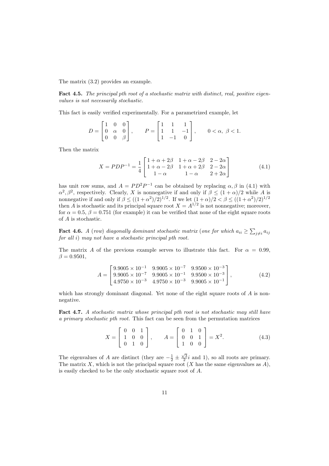The matrix (3.2) provides an example.

Fact 4.5. The principal pth root of a stochastic matrix with distinct, real, positive eigenvalues is not necessarily stochastic.

This fact is easily verified experimentally. For a parametrized example, let

$$
D = \begin{bmatrix} 1 & 0 & 0 \\ 0 & \alpha & 0 \\ 0 & 0 & \beta \end{bmatrix}, \qquad P = \begin{bmatrix} 1 & 1 & 1 \\ 1 & 1 & -1 \\ 1 & -1 & 0 \end{bmatrix}, \qquad 0 < \alpha, \ \beta < 1.
$$

Then the matrix

$$
X = PDP^{-1} = \frac{1}{4} \begin{bmatrix} 1 + \alpha + 2\beta & 1 + \alpha - 2\beta & 2 - 2\alpha \\ 1 + \alpha - 2\beta & 1 + \alpha + 2\beta & 2 - 2\alpha \\ 1 - \alpha & 1 - \alpha & 2 + 2\alpha \end{bmatrix}
$$
(4.1)

has unit row sums, and  $A = PD^2P^{-1}$  can be obtained by replacing  $\alpha, \beta$  in (4.1) with  $\alpha^2, \beta^2$ , respectively. Clearly, X is nonnegative if and only if  $\beta \leq (1+\alpha)/2$  while A is nonnegative if and only if  $\beta \leq ((1+\alpha^2)/2)^{1/2}$ . If we let  $(1+\alpha)/2 < \beta \leq ((1+\alpha^2)/2)^{1/2}$ then A is stochastic and its principal square root  $X = A^{1/2}$  is not nonnegative; moreover, for  $\alpha = 0.5$ ,  $\beta = 0.751$  (for example) it can be verified that none of the eight square roots of A is stochastic.

**Fact 4.6.** A (row) diagonally dominant stochastic matrix (one for which  $a_{ii} \ge \sum_{j\neq i} a_{ij}$ for all i) may not have a stochastic principal pth root.

The matrix A of the previous example serves to illustrate this fact. For  $\alpha = 0.99$ ,  $\beta = 0.9501,$ 

$$
A = \begin{bmatrix} 9.9005 \times 10^{-1} & 9.9005 \times 10^{-7} & 9.9500 \times 10^{-3} \\ 9.9005 \times 10^{-7} & 9.9005 \times 10^{-1} & 9.9500 \times 10^{-3} \\ 4.9750 \times 10^{-3} & 4.9750 \times 10^{-3} & 9.9005 \times 10^{-1} \end{bmatrix},
$$
(4.2)

which has strongly dominant diagonal. Yet none of the eight square roots of A is nonnegative.

Fact 4.7. A stochastic matrix whose principal pth root is not stochastic may still have a primary stochastic pth root. This fact can be seen from the permutation matrices

$$
X = \begin{bmatrix} 0 & 0 & 1 \\ 1 & 0 & 0 \\ 0 & 1 & 0 \end{bmatrix}, \qquad A = \begin{bmatrix} 0 & 1 & 0 \\ 0 & 0 & 1 \\ 1 & 0 & 0 \end{bmatrix} = X^2.
$$
 (4.3)

The eigenvalues of A are distinct (they are  $-\frac{1}{2} \pm \frac{\sqrt{3}}{2}i$  and 1), so all roots are primary. The matrix X, which is not the principal square root  $(X$  has the same eigenvalues as  $A$ ), is easily checked to be the only stochastic square root of A.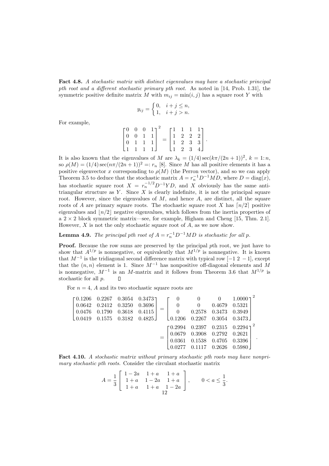Fact 4.8. A stochastic matrix with distinct eigenvalues may have a stochastic principal pth root and a different stochastic primary pth root. As noted in [14, Prob. 1.31], the symmetric positive definite matrix M with  $m_{ij} = \min(i, j)$  has a square root Y with

$$
y_{ij} = \begin{cases} 0, & i + j \le n, \\ 1, & i + j > n. \end{cases}
$$

For example,

 $\overline{1}$  $\overline{\phantom{a}}$ 0 0 0 1 0 0 1 1 0 1 1 1 1 1 1 1 Ĭ.  $\overline{\phantom{a}}$ 2 =  $\overline{1}$  $\overline{\phantom{a}}$ 1 1 1 1 1 2 2 2 1 2 3 3 1 2 3 4 Ĭ.  $\vert \cdot$ 

It is also known that the eigenvalues of M are  $\lambda_k = (1/4) \sec(k\pi/(2n+1))^2$ ,  $k = 1:n$ , so  $\rho(M) = (1/4) \sec(n\pi/(2n+1))^2 =: r_n$  [8]. Since M has all positive elements it has a positive eigenvector x corresponding to  $\rho(M)$  (the Perron vector), and so we can apply Theorem 3.5 to deduce that the stochastic matrix  $A = r_n^{-1}D^{-1}MD$ , where  $D = \text{diag}(x)$ , has stochastic square root  $X = r_n^{-1/2} D^{-1} Y D$ , and X obviously has the same antitriangular structure as Y. Since X is clearly indefinite, it is not the principal square root. However, since the eigenvalues of  $M$ , and hence  $A$ , are distinct, all the square roots of A are primary square roots. The stochastic square root X has  $\lceil n/2 \rceil$  positive eigenvalues and  $\lfloor n/2 \rfloor$  negative eigenvalues, which follows from the inertia properties of a  $2 \times 2$  block symmetric matrix—see, for example, Higham and Cheng [15, Thm. 2.1]. However,  $X$  is not the only stochastic square root of  $A$ , as we now show.

**Lemma 4.9.** The principal pth root of  $A = r_n^{-1}D^{-1}MD$  is stochastic for all p.

Proof. Because the row sums are preserved by the principal pth root, we just have to show that  $A^{1/p}$  is nonnegative, or equivalently that  $M^{1/p}$  is nonnegative. It is known that  $M^{-1}$  is the tridiagonal second difference matrix with typical row [-1 2 -1], except that the  $(n, n)$  element is 1. Since  $M^{-1}$  has nonpositive off-diagonal elements and M is nonnegative,  $M^{-1}$  is an M-matrix and it follows from Theorem 3.6 that  $M^{1/p}$  is stochastic for all p.  $\Box$ 

For  $n = 4$ , A and its two stochastic square roots are

|  |  |                                                                                                                                     |  |  | $\begin{bmatrix} 0.1206 & 0.2267 & 0.3054 & 0.3473 \\ 0.0642 & 0.2412 & 0.3250 & 0.3696 \\ 0.0476 & 0.1790 & 0.3618 & 0.4115 \end{bmatrix} = \begin{bmatrix} 0 & 0 & 0 & 1.0000 \\ 0 & 0 & 0.4679 & 0.5321 \\ 0 & 0.2578 & 0.3473 & 0.3949 \end{bmatrix}^T$ |
|--|--|-------------------------------------------------------------------------------------------------------------------------------------|--|--|-------------------------------------------------------------------------------------------------------------------------------------------------------------------------------------------------------------------------------------------------------------|
|  |  |                                                                                                                                     |  |  |                                                                                                                                                                                                                                                             |
|  |  |                                                                                                                                     |  |  |                                                                                                                                                                                                                                                             |
|  |  | $\begin{bmatrix} 0.0419 & 0.1575 & 0.3182 & 0.4825 \end{bmatrix}$ $\begin{bmatrix} 0.1206 & 0.2267 & 0.3054 & 0.3473 \end{bmatrix}$ |  |  |                                                                                                                                                                                                                                                             |
|  |  |                                                                                                                                     |  |  | $\begin{bmatrix} 0.2994 & 0.2397 & 0.2315 & 0.2294 \end{bmatrix}^2$                                                                                                                                                                                         |
|  |  |                                                                                                                                     |  |  | $\mathcal{L} = \left[\begin{array}{cccc} 0.0679 & 0.3908 & 0.2792 & 0.2621 \ 0.0361 & 0.1538 & 0.4705 & 0.3396 \end{array}\right] \enspace .$                                                                                                               |
|  |  |                                                                                                                                     |  |  |                                                                                                                                                                                                                                                             |
|  |  |                                                                                                                                     |  |  | $\begin{bmatrix} 0.0277 & 0.1117 & 0.2626 & 0.5980 \end{bmatrix}$                                                                                                                                                                                           |

Fact 4.10. A stochastic matrix without primary stochastic pth roots may have nonprimary stochastic pth roots. Consider the circulant stochastic matrix

$$
A = \frac{1}{3} \left[ \begin{array}{rrr} 1 - 2a & 1 + a & 1 + a \\ 1 + a & 1 - 2a & 1 + a \\ 1 + a & 1 + a & 1 - 2a \end{array} \right], \qquad 0 < a \le \frac{1}{3}.
$$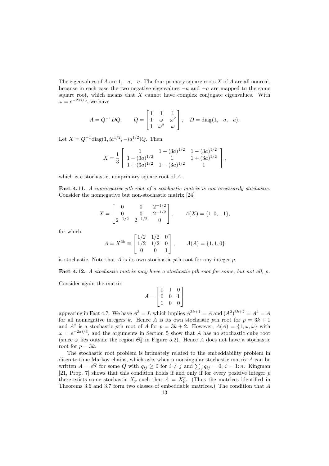The eigenvalues of A are  $1, -a, -a$ . The four primary square roots X of A are all nonreal, because in each case the two negative eigenvalues  $-a$  and  $-a$  are mapped to the same square root, which means that  $X$  cannot have complex conjugate eigenvalues. With  $\omega = e^{-2\pi i/3}$ , we have

$$
A = Q^{-1}DQ, \qquad Q = \begin{bmatrix} 1 & 1 & 1 \\ 1 & \omega & \omega^2 \\ 1 & \omega^2 & \omega \end{bmatrix}, \quad D = \text{diag}(1, -a, -a).
$$

Let  $X = Q^{-1} \text{diag}(1, ia^{1/2}, -ia^{1/2})Q$ . Then

$$
X = \frac{1}{3} \left[ \begin{array}{ccc} 1 & 1 + (3a)^{1/2} & 1 - (3a)^{1/2} \\ 1 - (3a)^{1/2} & 1 & 1 + (3a)^{1/2} \\ 1 + (3a)^{1/2} & 1 - (3a)^{1/2} & 1 \end{array} \right],
$$

which is a stochastic, nonprimary square root of A.

Fact 4.11. A nonnegative pth root of a stochastic matrix is not necessarily stochastic. Consider the nonnegative but non-stochastic matrix [24]

$$
X = \begin{bmatrix} 0 & 0 & 2^{-1/2} \\ 0 & 0 & 2^{-1/2} \\ 2^{-1/2} & 2^{-1/2} & 0 \end{bmatrix}, \qquad A(X) = \{1, 0, -1\},
$$

for which

$$
A = X^{2k} \equiv \begin{bmatrix} 1/2 & 1/2 & 0 \\ 1/2 & 1/2 & 0 \\ 0 & 0 & 1 \end{bmatrix}, \qquad A(A) = \{1, 1, 0\}
$$

is stochastic. Note that  $A$  is its own stochastic pth root for any integer  $p$ .

Fact 4.12. A stochastic matrix may have a stochastic pth root for some, but not all, p.

Consider again the matrix

$$
A = \begin{bmatrix} 0 & 1 & 0 \\ 0 & 0 & 1 \\ 1 & 0 & 0 \end{bmatrix}
$$

appearing in Fact 4.7. We have  $A^3 = I$ , which implies  $A^{3k+1} = A$  and  $(A^2)^{3k+2} = A^4 = A$ for all nonnegative integers k. Hence A is its own stochastic pth root for  $p = 3k + 1$ and  $A^2$  is a stochastic pth root of A for  $p = 3k + 2$ . However,  $\Lambda(A) = \{1, \omega, \overline{\omega}\}\$  with  $\omega = e^{-2\pi i/3}$ , and the arguments in Section 5 show that A has no stochastic cube root (since  $\omega$  lies outside the region  $\Theta_3^3$  in Figure 5.2). Hence A does not have a stochastic root for  $p = 3k$ .

The stochastic root problem is intimately related to the embeddability problem in discrete-time Markov chains, which asks when a nonsingular stochastic matrix A can be written  $A = e^{Q}$  for some Q with  $q_{ij} \ge 0$  for  $i \ne j$  and  $\sum_{j} q_{ij} = 0$ ,  $i = 1:n$ . Kingman [21, Prop. 7] shows that this condition holds if and only if for every positive integer  $p$ there exists some stochastic  $X_p$  such that  $A = X_p^p$ . (Thus the matrices identified in Theorems 3.6 and 3.7 form two classes of embeddable matrices.) The condition that A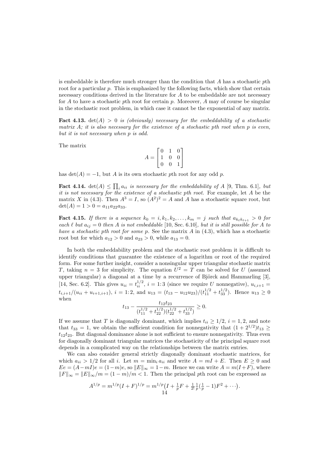is embeddable is therefore much stronger than the condition that  $A$  has a stochastic pth root for a particular p. This is emphasized by the following facts, which show that certain necessary conditions derived in the literature for A to be embeddable are not necessary for  $A$  to have a stochastic pth root for certain p. Moreover,  $A$  may of course be singular in the stochastic root problem, in which case it cannot be the exponential of any matrix.

**Fact 4.13.** det(A) > 0 is (obviously) necessary for the embeddability of a stochastic matrix  $A$ ; it is also necessary for the existence of a stochastic pth root when p is even, but it is not necessary when p is odd.

The matrix

$$
A = \begin{bmatrix} 0 & 1 & 0 \\ 1 & 0 & 0 \\ 0 & 0 & 1 \end{bmatrix}
$$

has  $\det(A) = -1$ , but A is its own stochastic pth root for any odd p.

**Fact 4.14.** det(A)  $\leq \prod_i a_{ii}$  is necessary for the embeddability of A [9, Thm. 6.1], but it is not necessary for the existence of a stochastic pth root. For example, let A be the matrix X in (4.3). Then  $A^3 = I$ , so  $(A^2)^2 = A$  and A has a stochastic square root, but  $\det(A) = 1 > 0 = a_{11}a_{22}a_{33}.$ 

Fact 4.15. If there is a sequence  $k_0 = i, k_1, k_2, \ldots, k_m = j$  such that  $a_{k_\ell k_{\ell+1}} > 0$  for each  $\ell$  but  $a_{ij} = 0$  then A is not embeddable [10, Sec. 6.10], but it is still possible for A to have a stochastic pth root for some p. See the matrix  $A$  in  $(4.3)$ , which has a stochastic root but for which  $a_{12} > 0$  and  $a_{23} > 0$ , while  $a_{13} = 0$ .

In both the embeddability problem and the stochastic root problem it is difficult to identify conditions that guarantee the existence of a logarithm or root of the required form. For some further insight, consider a nonsingular upper triangular stochastic matrix T, taking  $n = 3$  for simplicity. The equation  $U^2 = T$  can be solved for U (assumed upper triangular) a diagonal at a time by a recurrence of Björck and Hammarling  $[3]$ , [14, Sec. 6.2]. This gives  $u_{ii} = t_{ii}^{1/2}$ ,  $i = 1:3$  (since we require U nonnegative),  $u_{i,i+1} =$  $t_{i,i+1}/(u_{ii} + u_{i+1,i+1}), i = 1:2$ , and  $u_{13} = (t_{13} - u_{12}u_{23})/(t_{11}^{1/2} + t_{33}^{1/2})$ . Hence  $u_{13} \ge 0$ when

$$
t_{13}-\frac{t_{12}t_{23}}{(t_{11}^{1/2}+t_{22}^{1/2})(t_{22}^{1/2}+t_{33}^{1/2})}\geq 0.
$$

If we assume that T is diagonally dominant, which implies  $t_{ii} \geq 1/2$ ,  $i = 1, 2$ , and note that  $t_{33} = 1$ , we obtain the sufficient condition for nonnegativity that  $(1 + 2^{1/2})t_{13} \ge$  $t_{12}t_{23}$ . But diagonal dominance alone is not sufficient to ensure nonnegativity. Thus even for diagonally dominant triangular matrices the stochasticity of the principal square root depends in a complicated way on the relationships between the matrix entries.

We can also consider general strictly diagonally dominant stochastic matrices, for which  $a_{ii} > 1/2$  for all i. Let  $m = \min_i a_{ii}$  and write  $A = mI + E$ . Then  $E \ge 0$  and  $Ee = (A - mL)e = (1 - m)e$ , so  $||E||_{\infty} = 1 - m$ . Hence we can write  $A = m(I + F)$ , where  $\|F\|_{\infty} = \|E\|_{\infty}/m = (1 - m)/m < 1$ . Then the principal pth root can be expressed as

$$
A^{1/p} = m^{1/p} (I + F)^{1/p} = m^{1/p} (I + \frac{1}{p}F + \frac{1}{2!} \frac{1}{p} (\frac{1}{p} - 1)F^2 + \cdots).
$$
  
14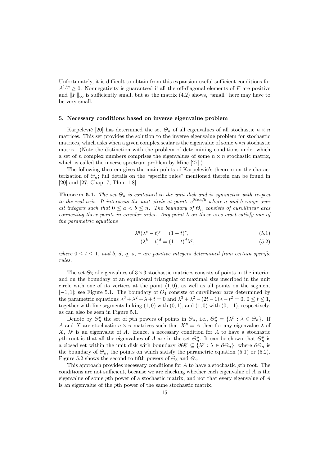Unfortunately, it is difficult to obtain from this expansion useful sufficient conditions for  $A^{1/p} \geq 0$ . Nonnegativity is guaranteed if all the off-diagonal elements of F are positive and  $||F||_{\infty}$  is sufficiently small, but as the matrix (4.2) shows, "small" here may have to be very small.

#### 5. Necessary conditions based on inverse eigenvalue problem

Karpelevič [20] has determined the set  $\Theta_n$  of all eigenvalues of all stochastic  $n \times n$ matrices. This set provides the solution to the inverse eigenvalue problem for stochastic matrices, which asks when a given complex scalar is the eigenvalue of some  $n \times n$  stochastic matrix. (Note the distinction with the problem of determining conditions under which a set of n complex numbers comprises the eigenvalues of some  $n \times n$  stochastic matrix, which is called the inverse spectrum problem by Minc [27].)

The following theorem gives the main points of Karpelevič's theorem on the characterization of  $\Theta_n$ ; full details on the "specific rules" mentioned therein can be found in [20] and [27, Chap. 7, Thm. 1.8].

**Theorem 5.1.** The set  $\Theta_n$  is contained in the unit disk and is symmetric with respect to the real axis. It intersects the unit circle at points  $e^{2i\pi a/b}$  where a and b range over all integers such that  $0 \le a < b \le n$ . The boundary of  $\Theta_n$  consists of curvilinear arcs connecting these points in circular order. Any point  $\lambda$  on these arcs must satisfy one of the parametric equations

$$
\lambda^q (\lambda^s - t)^r = (1 - t)^r,\tag{5.1}
$$

$$
(\lambda^b - t)^d = (1 - t)^d \lambda^q,\tag{5.2}
$$

where  $0 \leq t \leq 1$ , and b, d, q, s, r are positive integers determined from certain specific rules.

The set  $\Theta_3$  of eigenvalues of  $3\times 3$  stochastic matrices consists of points in the interior and on the boundary of an equilateral triangular of maximal size inscribed in the unit circle with one of its vertices at the point  $(1, 0)$ , as well as all points on the segment  $[-1, 1]$ ; see Figure 5.1. The boundary of  $\Theta_4$  consists of curvilinear arcs determined by the parametric equations  $\lambda^3 + \lambda^2 + \lambda + t = 0$  and  $\lambda^3 + \lambda^2 - (2t - 1)\lambda - t^2 = 0$ ,  $0 \le t \le 1$ , together with line segments linking  $(1, 0)$  with  $(0, 1)$ , and  $(1, 0)$  with  $(0, -1)$ , respectively, as can also be seen in Figure 5.1.

Denote by  $\Theta_n^p$  the set of pth powers of points in  $\Theta_n$ , i.e.,  $\Theta_n^p = {\lambda^p : \lambda \in \Theta_n}$ . If A and X are stochastic  $n \times n$  matrices such that  $X^p = A$  then for any eigenvalue  $\lambda$  of X,  $\lambda^p$  is an eigenvalue of A. Hence, a necessary condition for A to have a stochastic pth root is that all the eigenvalues of A are in the set  $\Theta_n^p$ . It can be shown that  $\Theta_n^p$  is a closed set within the unit disk with boundary  $\partial \Theta_n^p \subseteq {\{\lambda^p : \lambda \in \partial \Theta_n\}}$ , where  $\partial \Theta_n$  is the boundary of  $\Theta_n$ , the points on which satisfy the parametric equation (5.1) or (5.2). Figure 5.2 shows the second to fifth powers of  $\Theta_3$  and  $\Theta_4$ .

This approach provides necessary conditions for A to have a stochastic pth root. The conditions are not sufficient, because we are checking whether each eigenvalue of  $A$  is the eigenvalue of some pth power of a stochastic matrix, and not that every eigenvalue of A is an eigenvalue of the pth power of the same stochastic matrix.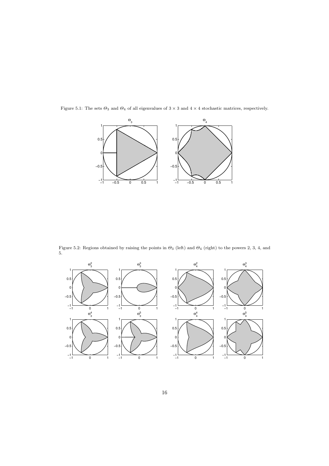

Figure 5.1: The sets  $\Theta_3$  and  $\Theta_4$  of all eigenvalues of  $3 \times 3$  and  $4 \times 4$  stochastic matrices, respectively.

Figure 5.2: Regions obtained by raising the points in  $\Theta_3$  (left) and  $\Theta_4$  (right) to the powers 2, 3, 4, and 5.

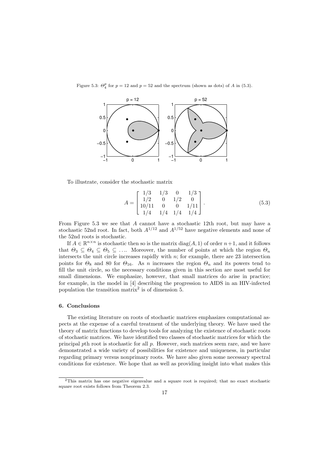Figure 5.3:  $\Theta_4^p$  for  $p = 12$  and  $p = 52$  and the spectrum (shown as dots) of A in (5.3).



To illustrate, consider the stochastic matrix

$$
A = \begin{bmatrix} 1/3 & 1/3 & 0 & 1/3 \\ 1/2 & 0 & 1/2 & 0 \\ 10/11 & 0 & 0 & 1/11 \\ 1/4 & 1/4 & 1/4 & 1/4 \end{bmatrix}.
$$
 (5.3)

From Figure 5.3 we see that A cannot have a stochastic 12th root, but may have a stochastic 52nd root. In fact, both  $A^{1/12}$  and  $A^{1/52}$  have negative elements and none of the 52nd roots is stochastic.

If  $A \in \mathbb{R}^{n \times n}$  is stochastic then so is the matrix  $diag(A, 1)$  of order  $n+1$ , and it follows that  $\Theta_3 \subseteq \Theta_4 \subseteq \Theta_5 \subseteq \dots$  Moreover, the number of points at which the region  $\Theta_n$ intersects the unit circle increases rapidly with  $n$ ; for example, there are 23 intersection points for  $\Theta_8$  and 80 for  $\Theta_{16}$ . As n increases the region  $\Theta_n$  and its powers tend to fill the unit circle, so the necessary conditions given in this section are most useful for small dimensions. We emphasize, however, that small matrices do arise in practice; for example, in the model in [4] describing the progression to AIDS in an HIV-infected population the transition matrix<sup>2</sup> is of dimension 5.

#### 6. Conclusions

The existing literature on roots of stochastic matrices emphasizes computational aspects at the expense of a careful treatment of the underlying theory. We have used the theory of matrix functions to develop tools for analyzing the existence of stochastic roots of stochastic matrices. We have identified two classes of stochastic matrices for which the principal pth root is stochastic for all p. However, such matrices seem rare, and we have demonstrated a wide variety of possibilities for existence and uniqueness, in particular regarding primary versus nonprimary roots. We have also given some necessary spectral conditions for existence. We hope that as well as providing insight into what makes this

<sup>2</sup>This matrix has one negative eigenvalue and a square root is required; that no exact stochastic square root exists follows from Theorem 2.3.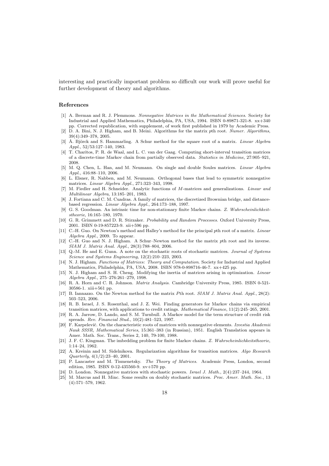interesting and practically important problem so difficult our work will prove useful for further development of theory and algorithms.

#### References

- [1] A. Berman and R. J. Plemmons. Nonnegative Matrices in the Mathematical Sciences. Society for Industrial and Applied Mathematics, Philadelphia, PA, USA, 1994. ISBN 0-89871-321-8. xx+340 pp. Corrected republication, with supplement, of work first published in 1979 by Academic Press.
- [2] D. A. Bini, N. J. Higham, and B. Meini. Algorithms for the matrix pth root. Numer. Algorithms, 39(4):349–378, 2005.
- [3] Å. Björck and S. Hammarling. A Schur method for the square root of a matrix. Linear Algebra Appl., 52/53:127–140, 1983.
- [4] T. Charitos, P. R. de Waal, and L. C. van der Gaag. Computing short-interval transition matrices of a discrete-time Markov chain from partially observed data. Statistics in Medicine, 27:905–921, 2008.
- [5] M. Q. Chen, L. Han, and M. Neumann. On single and double Soules matrices. Linear Algebra Appl., 416:88–110, 2006.
- [6] L. Elsner, R. Nabben, and M. Neumann. Orthogonal bases that lead to symmetric nonnegative matrices. Linear Algebra Appl., 271:323–343, 1998.
- [7] M. Fiedler and H. Schneider. Analytic functions of M-matrices and generalizations. Linear and Multilinear Algebra, 13:185–201, 1983.
- [8] J. Fortiana and C. M. Cuadras. A family of matrices, the discretized Brownian bridge, and distancebased regression. Linear Algebra Appl., 264:173–188, 1997.
- [9] G. S. Goodman. An intrinsic time for non-stationary finite Markov chains. Z. Wahrscheinlichkeitstheorie, 16:165–180, 1970.
- [10] G. R. Grimmett and D. R. Stirzaker. Probability and Random Processes. Oxford University Press, 2001. ISBN 0-19-857223-9. xii+596 pp.
- [11] C.-H. Guo. On Newton's method and Halley's method for the principal pth root of a matrix. Linear Algebra Appl., 2009. To appear.
- [12] C.-H. Guo and N. J. Higham. A Schur–Newton method for the matrix pth root and its inverse. SIAM J. Matrix Anal. Appl., 28(3):788–804, 2006.
- [13] Q.-M. He and E. Gunn. A note on the stochastic roots of stochastic matrices. Journal of Systems Science and Systems Engineering, 12(2):210–223, 2003.
- [14] N. J. Higham. Functions of Matrices: Theory and Computation. Society for Industrial and Applied Mathematics, Philadelphia, PA, USA, 2008. ISBN 978-0-898716-46-7. xx+425 pp.
- [15] N. J. Higham and S. H. Cheng. Modifying the inertia of matrices arising in optimization. Linear Algebra Appl., 275–276:261–279, 1998.
- [16] R. A. Horn and C. R. Johnson. Matrix Analysis. Cambridge University Press, 1985. ISBN 0-521- 30586-1. xiii+561 pp.
- [17] B. Iannazzo. On the Newton method for the matrix Pth root. SIAM J. Matrix Anal. Appl., 28(2): 503–523, 2006.
- [18] R. B. Israel, J. S. Rosenthal, and J. Z. Wei. Finding generators for Markov chains via empirical transition matrices, with applications to credit ratings. Mathematical Finance, 11(2):245–265, 2001.
- [19] R. A. Jarrow, D. Lando, and S. M. Turnbull. A Markov model for the term structure of credit risk spreads. Rev. Financial Stud., 10(2):481–523, 1997.
- [20] F. Karpelevič. On the characteristic roots of matrices with nonnegative elements. Izvestia Akademii Nauk SSSR, Mathematical Series, 15:361–383 (in Russian), 1951. English Translation appears in Amer. Math. Soc. Trans., Series 2, 140, 79-100, 1988.
- [21] J. F. C. Kingman. The imbedding problem for finite Markov chains. Z. Wahrscheinlichkeitstheorie, 1:14–24, 1962.
- [22] A. Kreinin and M. Sidelnikova. Regularization algorithms for transition matrices. Algo Research Quarterly, 4(1/2):23–40, 2001.
- [23] P. Lancaster and M. Tismenetsky. The Theory of Matrices. Academic Press, London, second edition, 1985. ISBN 0-12-435560-9. xv+570 pp.
- [24] D. London. Nonnegative matrices with stochastic powers. Israel J. Math., 2(4):237–244, 1964.
- [25] M. Marcus and H. Minc. Some results on doubly stochastic matrices. Proc. Amer. Math. Soc., 13 (4):571–579, 1962.